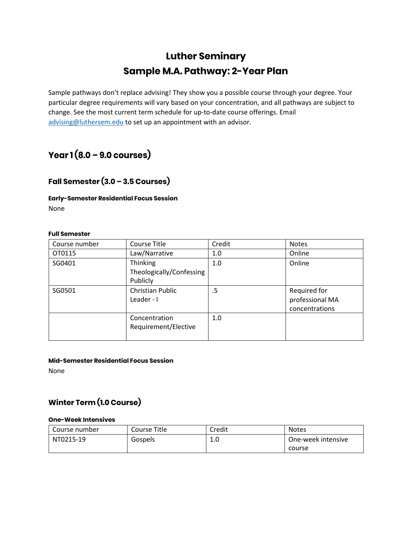# **Luther Seminary Sample M.A. Pathway: 2-Year Plan**

Sample pathways don't replace advising! They show you a possible course through your degree. Your particular degree requirements will vary based on your concentration, and all pathways are subject to change. See the most current term schedule for up-to-date course offerings. Email [advising@luthersem.edu](mailto:advising@luthersem.edu) to set up an appointment with an advisor.

# **Year 1 (8.0 – 9.0 courses)**

### **Fall Semester (3.0 – 3.5 Courses)**

### **Early-Semester Residential Focus Session** None

### **Full Semester**

| Course number | Course Title                                            | Credit | <b>Notes</b>                                      |
|---------------|---------------------------------------------------------|--------|---------------------------------------------------|
| OT0115        | Law/Narrative                                           | 1.0    | Online                                            |
| SG0401        | <b>Thinking</b><br>Theologically/Confessing<br>Publicly | 1.0    | Online                                            |
| SG0501        | Christian Public<br>Leader - I                          | .5     | Required for<br>professional MA<br>concentrations |
|               | Concentration<br>Requirement/Elective                   | 1.0    |                                                   |

### **Mid-Semester Residential Focus Session**

None

### **Winter Term (1.0 Course)**

#### **One-Week Intensives**

| Course number | Course Title | Credit | <b>Notes</b>       |
|---------------|--------------|--------|--------------------|
| NT0215-19     | Gospels      | 1.0    | One-week intensive |
|               |              |        | course             |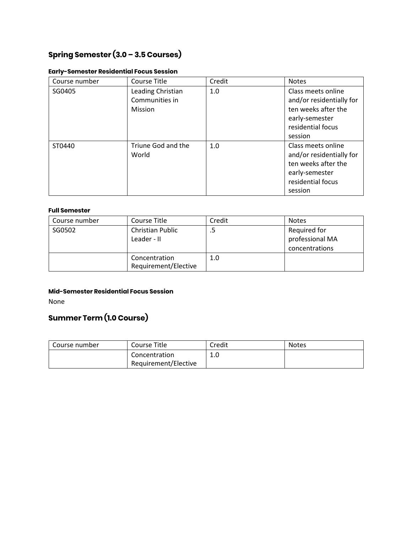# **Spring Semester (3.0 – 3.5 Courses)**

| Course number | Course Title                                   | Credit | <b>Notes</b>                                                                                                            |
|---------------|------------------------------------------------|--------|-------------------------------------------------------------------------------------------------------------------------|
| SG0405        | Leading Christian<br>Communities in<br>Mission | 1.0    | Class meets online<br>and/or residentially for<br>ten weeks after the<br>early-semester<br>residential focus<br>session |
| ST0440        | Triune God and the<br>World                    | 1.0    | Class meets online<br>and/or residentially for<br>ten weeks after the<br>early-semester<br>residential focus<br>session |

### **Early-Semester Residential Focus Session**

### **Full Semester**

| Course number | Course Title                           | Credit | <b>Notes</b>                                      |
|---------------|----------------------------------------|--------|---------------------------------------------------|
| SG0502        | <b>Christian Public</b><br>Leader - II |        | Required for<br>professional MA<br>concentrations |
|               | Concentration<br>Requirement/Elective  | 1.0    |                                                   |

#### **Mid-Semester Residential Focus Session**

None

## **Summer Term (1.0 Course)**

| Course number | Course Title                          | Credit | Notes |
|---------------|---------------------------------------|--------|-------|
|               | Concentration<br>Requirement/Elective | ⊥.∪    |       |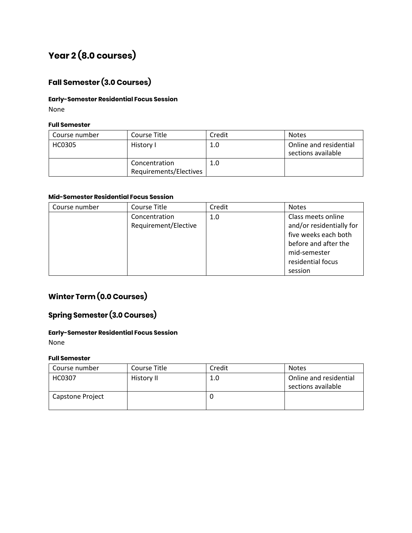# **Year 2 (8.0 courses)**

# **Fall Semester (3.0 Courses)**

### **Early-Semester Residential Focus Session**

None

### **Full Semester**

| Course number | Course Title                            | Credit | <b>Notes</b>                                 |
|---------------|-----------------------------------------|--------|----------------------------------------------|
| <b>HC0305</b> | History I                               | 1.0    | Online and residential<br>sections available |
|               | Concentration<br>Requirements/Electives | 1.0    |                                              |

### **Mid-Semester Residential Focus Session**

| Credit<br>Course Title<br>Course number      | <b>Notes</b>                                                                                                                                   |
|----------------------------------------------|------------------------------------------------------------------------------------------------------------------------------------------------|
| Concentration<br>1.0<br>Requirement/Elective | Class meets online<br>and/or residentially for<br>five weeks each both<br>before and after the<br>mid-semester<br>residential focus<br>session |

## **Winter Term (0.0 Courses)**

### **Spring Semester (3.0 Courses)**

### **Early-Semester Residential Focus Session**

None

### **Full Semester**

| Course number    | Course Title | Credit | <b>Notes</b>                                 |
|------------------|--------------|--------|----------------------------------------------|
| HC0307           | History II   | 1.0    | Online and residential<br>sections available |
| Capstone Project |              |        |                                              |